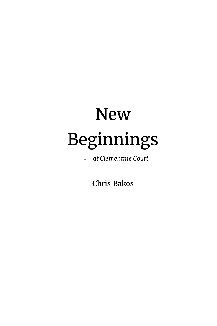## **New** Beginnings

- *at Clementine Court*

Chris Bakos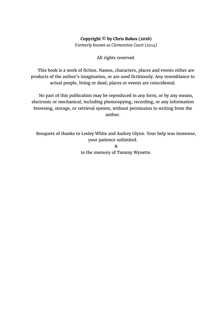## **Copyright © by Chris Bakos (2018)**

*Formerly known as Clementine Court (2014)*

All rights reserved.

This book is a work of fiction. Names, characters, places and events either are products of the author's imagination, or are used fictitiously. Any resemblance to actual people, living or dead, places or events are coincidental.

No part of this publication may be reproduced in any form, or by any means, electronic or mechanical, including photocopying, recording, or any information browsing, storage, or retrieval system, without permission in writing from the author.

Bouquets of thanks to Lesley White and Audrey Glynn. Your help was immense, your patience unlimited.

> & to the memory of Tammy Wynette.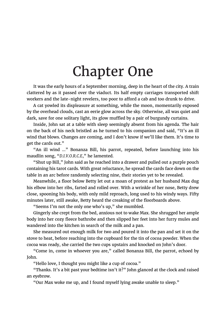## Chapter One

It was the early hours of a September morning, deep in the heart of the city. A train clattered by as it passed over the viaduct. Its half empty carriages transported shift workers and the late-night revelers, too poor to afford a cab and too drunk to drive.

A cat yowled its displeasure at something, while the moon, momentarily exposed by the overhead clouds, cast an eerie glow across the sky. Otherwise, all was quiet and dark, save for one solitary light, its glow muffled by a pair of burgundy curtains.

Inside, John sat at a table with sleep seemingly absent from his agenda. The hair on the back of his neck bristled as he turned to his companion and said, "It's an ill wind that blows. Changes are coming, and I don't know if we'll like them. It's time to get the cards out."

"An ill wind …" Bonanza Bill, his parrot, repeated, before launching into his maudlin song, "*D.I.V.O.R.C.E*," he lamented.

"Shut up Bill," John said as he reached into a drawer and pulled out a purple pouch containing his tarot cards. With great reluctance, he spread the cards face down on the table in an arc before randomly selecting nine, their stories yet to be revealed.

Meanwhile, a floor below Betty let out a moan of protest as her husband Max dug his elbow into her ribs, farted and rolled over. With a wrinkle of her nose, Betty drew close, spooning his body, with only mild reproach, long used to his windy ways. Fifty minutes later, still awake, Betty heard the creaking of the floorboards above.

"Seems I'm not the only one who's up," she mumbled.

Gingerly she crept from the bed, anxious not to wake Max. She shrugged her ample body into her cozy fleece bathrobe and then slipped her feet into her furry mules and wandered into the kitchen in search of the milk and a pan.

She measured out enough milk for two and poured it into the pan and set it on the stove to heat, before reaching into the cupboard for the tin of cocoa powder. When the cocoa was ready, she carried the two cups upstairs and knocked on John's door.

"Come in, come in whoever you are," called Bonanza Bill, the parrot, echoed by John.

"Hello love, I thought you might like a cup of cocoa."

"Thanks. It's a bit past your bedtime isn't it?" John glanced at the clock and raised an eyebrow.

"Our Max woke me up, and I found myself lying awake unable to sleep."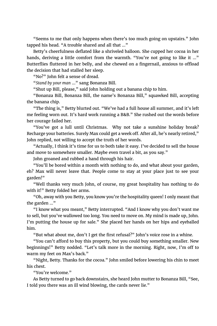"Seems to me that only happens when there's too much going on upstairs." John tapped his head. "A trouble shared and all that ..."

Betty's cheerfulness deflated like a shriveled balloon. She cupped her cocoa in her hands, deriving a little comfort from the warmth. "You're not going to like it ..." Butterflies fluttered in her belly, and she chewed on a fingernail, anxious to offload the decision that had stalled her sleep.

"No?" John felt a sense of dread.

"*Stand by your man* …" sang Bonanza Bill.

"Shut up Bill, please," said John holding out a banana chip to him.

"Bonanza Bill, Bonanza Bill, the name's Bonanza Bill," squawked Bill, accepting the banana chip.

"The thing is," Betty blurted out. "We've had a full house all summer, and it's left me feeling worn out. It's hard work running a B&B." She rushed out the words before her courage failed her.

"You've got a lull until Christmas. Why not take a sunshine holiday break? Recharge your batteries. Surely Max could get a week off. After all, he's nearly retired," John replied, not willing to accept the truth of her words.

"Actually, I think it's time for us to both take it easy. I've decided to sell the house and move to somewhere smaller. Maybe even travel a bit, as you say."

John groaned and rubbed a hand through his hair.

"You'll be bored within a month with nothing to do, and what about your garden, eh? Max will never leave that. People come to stay at your place just to see your garden!"

"Well thanks very much John, of course, my great hospitality has nothing to do with it!" Betty folded her arms.

"Oh, away with you Betty, you know you're the hospitality queen! I only meant that the garden …"

"I know what you meant," Betty interrupted. "And I know why you don't want me to sell, but you've wallowed too long. You need to move on. My mind is made up, John. I'm putting the house up for sale." She placed her hands on her hips and eyeballed him.

"But what about me, don't I get the first refusal?" John's voice rose in a whine.

"You can't afford to buy this property, but you could buy something smaller. New beginnings!" Betty nodded. "Let's talk more in the morning. Right, now, I'm off to warm my feet on Max's back."

"Night, Betty. Thanks for the cocoa." John smiled before lowering his chin to meet his chest.

"You're welcome."

As Betty turned to go back downstairs, she heard John mutter to Bonanza Bill, "See, I told you there was an ill wind blowing, the cards never lie."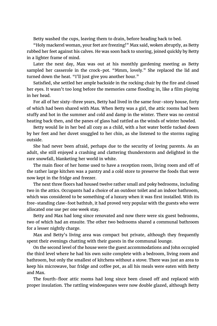Betty washed the cups, leaving them to drain, before heading back to bed.

"Holy mackerel woman, your feet are freezing!" Max said, woken abruptly, as Betty rubbed her feet against his calves. He was soon back to snoring, joined quickly by Betty in a lighter frame of mind.

Later the next day, Max was out at his monthly gardening meeting as Betty sampled her casserole in the crock-pot. "Mmm, lovely." She replaced the lid and turned down the heat. "I'll just give you another hour."

Satisfied, she settled her ample backside in the rocking chair by the fire and closed her eyes. It wasn't too long before the memories came flooding in, like a film playing in her head.

For all of her sixty-three years, Betty had lived in the same four-story house, forty of which had been shared with Max. When Betty was a girl, the attic rooms had been stuffy and hot in the summer and cold and damp in the winter. There was no central heating back then, and the panes of glass had rattled as the winds of winter howled.

Betty would lie in her bed all cozy as a child, with a hot water bottle tucked down by her feet and her duvet snuggled to her chin, as she listened to the storms raging outside.

She had never been afraid, perhaps due to the security of loving parents. As an adult, she still enjoyed a crashing and clattering thunderstorm and delighted in the rare snowfall, blanketing her world in white.

The main floor of her home used to have a reception room, living room and off of the rather large kitchen was a pantry and a cold store to preserve the foods that were now kept in the fridge and freezer.

The next three floors had housed twelve rather small and poky bedrooms, including two in the attics. Occupants had a choice of an outdoor toilet and an indoor bathroom, which was considered to be something of a luxury when it was first installed. With its free-standing claw-foot bathtub, it had proved very popular with the guests who were allocated one use per one week stay.

Betty and Max had long since renovated and now there were six guest bedrooms, two of which had an ensuite. The other two bedrooms shared a communal bathroom for a lesser nightly charge.

Max and Betty's living area was compact but private, although they frequently spent their evenings chatting with their guests in the communal lounge.

On the second level of the house were the guest accommodations and John occupied the third level where he had his own suite complete with a bedroom, living room and bathroom, but only the smallest of kitchens without a stove. There was just an area to keep his microwave, bar fridge and coffee pot, as all his meals were eaten with Betty and Max.

The fourth-floor attic rooms had long since been closed off and replaced with proper insulation. The rattling windowpanes were now double glazed, although Betty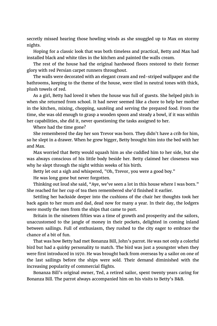secretly missed hearing those howling winds as she snuggled up to Max on stormy nights.

Hoping for a classic look that was both timeless and practical, Betty and Max had installed black and white tiles in the kitchen and painted the walls cream.

The rest of the house had the original hardwood floors restored to their former glory with red Persian carpet runners throughout.

The walls were decorated with an elegant cream and red-striped wallpaper and the bathrooms, keeping to the theme of the house, were tiled in neutral tones with thick, plush towels of red.

As a girl, Betty had loved it when the house was full of guests. She helped pitch in when she returned from school. It had never seemed like a chore to help her mother in the kitchen, mixing, chopping, sautéing and serving the prepared food. From the time, she was old enough to grasp a wooden spoon and steady a bowl, if it was within her capabilities, she did it, never questioning the tasks assigned to her.

Where had the time gone?

She remembered the day her son Trevor was born. They didn't have a crib for him, so he slept in a drawer. When he grew bigger, Betty brought him into the bed with her and Max.

Max worried that Betty would squash him as she cuddled him to her side, but she was always conscious of his little body beside her. Betty claimed her closeness was why he slept through the night within weeks of his birth.

Betty let out a sigh and whispered, "Oh, Trevor, you were a good boy."

He was long gone but never forgotten.

Thinking out loud she said, "Aye, we've seen a lot in this house where I was born." She reached for her cup of tea then remembered she'd finished it earlier.

Settling her backside deeper into the cushions of the chair her thoughts took her back again to her mum and dad, dead now for many a year. In their day, the lodgers were mostly the men from the ships that came to port.

Britain in the nineteen fifties was a time of growth and prosperity and the sailors, unaccustomed to the jangle of money in their pockets, delighted in coming inland between sailings. Full of enthusiasm, they rushed to the city eager to embrace the chance of a bit of fun.

That was how Betty had met Bonanza Bill, John's parrot. He was not only a colorful bird but had a quirky personality to match. The bird was just a youngster when they were first introduced in 1970. He was brought back from overseas by a sailor on one of the last sailings before the ships were sold. Their demand diminished with the increasing popularity of commercial flights.

Bonanza Bill's original owner, Ted, a retired sailor, spent twenty years caring for Bonanza Bill. The parrot always accompanied him on his visits to Betty's B&B.